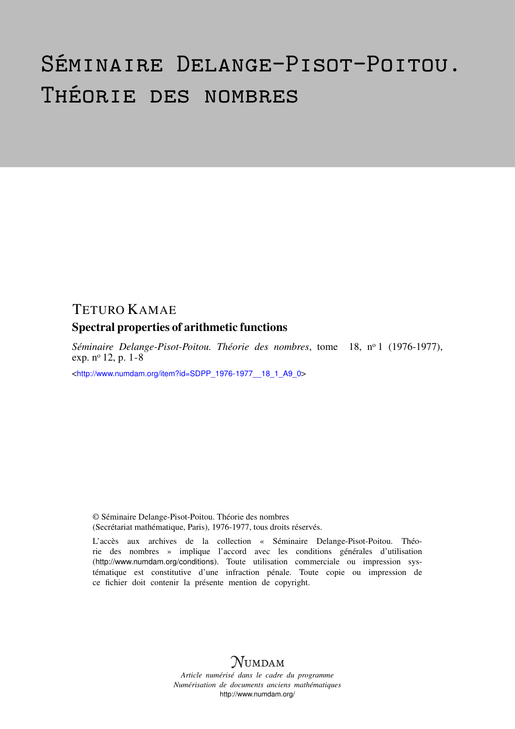# Séminaire Delange-Pisot-Poitou. Théorie des nombres

# TETURO KAMAE

# Spectral properties of arithmetic functions

*Séminaire Delange-Pisot-Poitou. Théorie des nombres*, tome 18, n<sup>o</sup> 1 (1976-1977), exp. n<sup>o</sup> 12, p. 1-8

<[http://www.numdam.org/item?id=SDPP\\_1976-1977\\_\\_18\\_1\\_A9\\_0](http://www.numdam.org/item?id=SDPP_1976-1977__18_1_A9_0)>

© Séminaire Delange-Pisot-Poitou. Théorie des nombres (Secrétariat mathématique, Paris), 1976-1977, tous droits réservés.

L'accès aux archives de la collection « Séminaire Delange-Pisot-Poitou. Théorie des nombres » implique l'accord avec les conditions générales d'utilisation (<http://www.numdam.org/conditions>). Toute utilisation commerciale ou impression systématique est constitutive d'une infraction pénale. Toute copie ou impression de ce fichier doit contenir la présente mention de copyright.

# $N$ UMDAM

*Article numérisé dans le cadre du programme Numérisation de documents anciens mathématiques* <http://www.numdam.org/>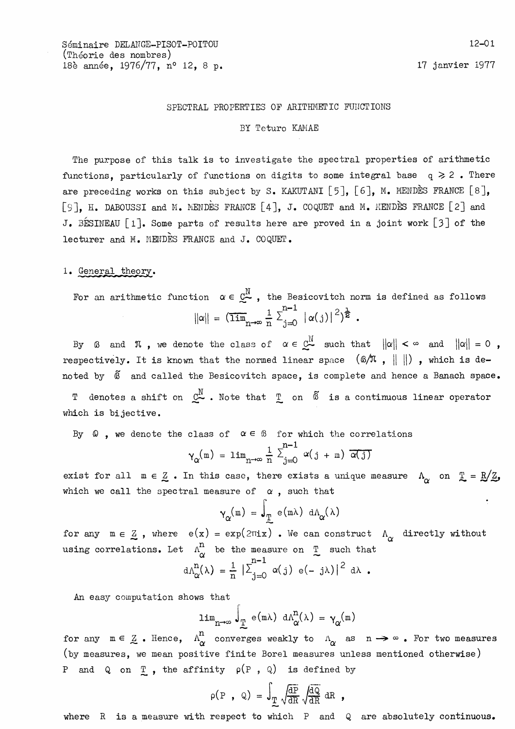#### SPECTRAL PROPERTIES OF ARITHMETIC FUNCTIONS

#### BY Teturo KAMAE

The purpose of this talk is to investigate the spectral properties of arithmetic functions, particularly of functions on digits to some integral base  $q \ge 2$ . There are preceding works on this subject by S. KAKUTANI [5], [6], M. MENDES FRANCE [8], [9]. H. DABOUSSI and M. MENDES FRANCE [4], J. COQUET and M. MENDES FRANCE [2] and J. BESINEAU [1]. Some parts of results here are proved in a joint work [3] of the lecturer and M. MENDES FRANCE and J. COQUET.

#### 1. General theory.

For an arithmetic function  $\alpha \in \mathbb{C}^N$ , the Besicovitch norm is defined as follows  $||\alpha|| = (\overline{\lim}_{n \to \infty} \frac{1}{n} \sum_{j=0}^{n-1} |\alpha(j)|^2)^{\frac{1}{2}}$ .

By  $\emptyset$  and  $\pi$ , we denote the class of  $\alpha \in \mathbb{C}^{\mathbb{N}}$  such that  $\|\alpha\| < \infty$  and  $\|\alpha\| = 0$ , respectively. It is known that the normed linear space  $(\mathbb{G}/\mathbb{G})$ ,  $\|\|\|$ ), which is denoted by  $\tilde{B}$  and called the Besicovitch space, is complete and hence a Banach space.

denotes a shift on  $\mathbb{C}^{\mathbb{N}}$  . Note that  $\mathbb{T}$  on  $\widetilde{\mathbb{G}}$  is a continuous linear operator Τ which is bijective.

By  $\Omega$ , we denote the class of  $\alpha \in \mathcal{B}$  for which the correlations

$$
\gamma_{\alpha}(\mathbf{m}) = \lim_{n \to \infty} \frac{1}{n} \sum_{j=0}^{n-1} \alpha(j+m) \overline{\alpha(j)}
$$

exist for all  $m \in \mathbb{Z}$ . In this case, there exists a unique measure  $\Lambda_{\gamma}$  on  $\mathbb{L} = \mathbb{R}/\mathbb{Z}$ , which we call the spectral measure of  $\alpha$ , such that

$$
\gamma_{\alpha}(\mathbf{m}) = \int_{\mathbb{T}} e(\mathbf{m}\lambda) d\Lambda_{\alpha}(\lambda)
$$

for any  $m \in \mathbb{Z}$ , where  $e(x) = exp(2\pi i x)$ . We can construct  $\Lambda_{\sim}$  directly without using correlations. Let  $\Lambda^n_{\alpha}$  be the measure on  $\mathbb T$  such that

$$
i\Lambda_{\alpha}^{n}(\lambda) = \frac{1}{n} \left| \sum_{j=0}^{n-1} \alpha(j) e(-j\lambda) \right|^{2} d\lambda.
$$

An easy computation shows that

$$
\lim_{n \to \infty} J_{\mathcal{I}}^{\mathcal{I}} \circ (\mathfrak{m} \lambda) \ d \Lambda_{\alpha}^{n}(\lambda) = \gamma_{\alpha}(\mathfrak{m})
$$

for any  $m \in \mathbb{Z}$ . Hence,  $\Lambda^n_{\alpha}$  converges weakly to  $\Lambda_{\alpha}$  as  $n \to \infty$ . For two measures (by measures, we mean positive finite Borel measures unless mentioned otherwise) P and Q on  $\underline{\mathbb{T}}$ , the affinity  $\rho(P, Q)$  is defined by

$$
\rho(P \ , \ Q) = \int_{\underline{T}} \sqrt{\frac{dP}{dR}} \sqrt{\frac{dQ}{dR}} dR \ ,
$$

where  $R$  is a measure with respect to which  $P$  and  $Q$  are absolutely continuous.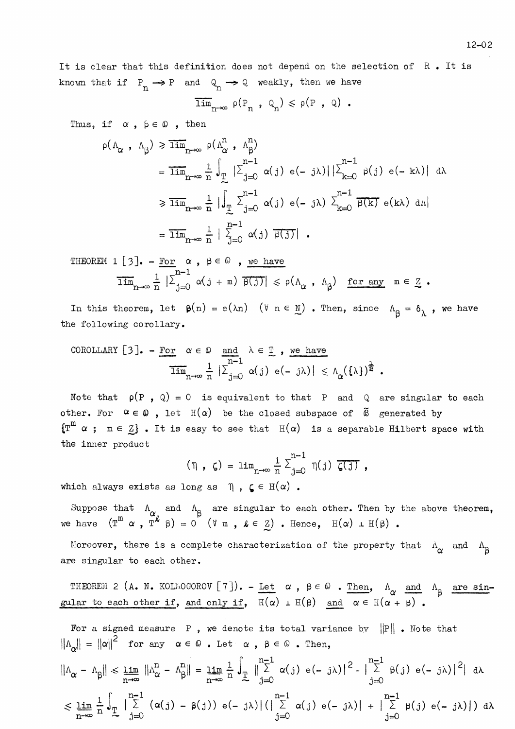It is clear that this definition does not depend on the selection of R. It is known that if  $P_n \rightarrow P$  and  $Q_n \rightarrow Q$  weakly, then we have

$$
\overline{\lim}_{n\to\infty} \rho(P_n, Q_n) \leq \rho(P, Q).
$$

Thus, if  $\alpha$ ,  $\beta \in \mathbb{Q}$ , then

$$
\rho(\Lambda_{\alpha} , \Lambda_{\beta}) \geq \overline{\lim}_{n \to \infty} \rho(\Lambda_{\alpha}^{n} , \Lambda_{\beta}^{n})
$$
\n
$$
= \overline{\lim}_{n \to \infty} \frac{1}{n} \int_{\mathbb{T}} |\Sigma_{j=0}^{n-1} \alpha(j) e(-j\lambda)| |\Sigma_{k=0}^{n-1} \beta(j) e(-k\lambda)| d\lambda
$$
\n
$$
\geq \overline{\lim}_{n \to \infty} \frac{1}{n} |\int_{\mathbb{T}} \Sigma_{j=0}^{n-1} \alpha(j) e(-j\lambda) \Sigma_{k=0}^{n-1} \overline{\beta(k)} e(k\lambda) d\lambda|
$$
\n
$$
= \overline{\lim}_{n \to \infty} \frac{1}{n} |\Sigma_{j=0}^{n-1} \alpha(j) \overline{\beta(j)}|.
$$

THEOREM 1 [3]. - For 
$$
\alpha
$$
,  $\beta \in \mathbb{Q}$ , we have  
\n
$$
\overline{\lim}_{n \to \infty} \frac{1}{n} |\sum_{j=0}^{n-1} \alpha(j+m) \overline{\beta(j)}| \le \rho(\Lambda_{\alpha}, \Lambda_{\beta}) \text{ for any } m \in \mathbb{Z}.
$$

In this theorem, let  $\beta(n) = e(\lambda n)$  ( $\forall n \in \mathbb{N}$ ). Then, since  $\Lambda_{\beta} = \delta_{\lambda}$ , we have the following corollary.

COROLLARY [3]. - For 
$$
\alpha \in \mathbb{Q}
$$
 and  $\lambda \in \mathbb{T}$ , we have  

$$
\overline{\lim}_{n \to \infty} \frac{1}{n} |\sum_{j=0}^{n-1} \alpha(j) e(-j\lambda)| \leq \Lambda_{\alpha}(\{\lambda\})^{\frac{1}{2}}.
$$

Note that  $\rho(P, Q) = 0$  is equivalent to that P and Q are singular to each other. For  $\alpha \in \mathbb{Q}$ , let  $H(\alpha)$  be the closed subspace of  $\widetilde{\alpha}$  generated by  $\{\mathbb{T}^m \, \alpha \, ; \, n \in \mathbb{Z}\}$ . It is easy to see that  $H(\alpha)$  is a separable Hilbert space with the inner product

$$
(\eta, \zeta) = \lim_{n \to \infty} \frac{1}{n} \sum_{j=0}^{n-1} \eta(j) \zeta(j),
$$

which always exists as long as  $\eta$ ,  $\zeta \in H(\alpha)$ .

Suppose that  $\Lambda_{\alpha}$  and  $\Lambda_{\beta}$  are singular to each other. Then by the above theorem, we have  $(T^{m \alpha}, T^k \beta) = 0$  ( $\forall m, \ell \in \mathbb{Z}$ ). Hence,  $H(\alpha) \perp H(\beta)$ .

Moreover, there is a complete characterization of the property that  $\Lambda_{\alpha}$  and  $\Lambda_{\beta}$ are singular to each other.

THEOREM 2 (A. N. KOLMOGOROV [7]). - Let  $\alpha$ ,  $\beta \in \mathbb{Q}$ . Then,  $\Lambda_{\alpha}$  and  $\Lambda_{\beta}$  are singular to each other if, and only if,  $\overline{H(\alpha)} + H(\beta)$  and  $\alpha \in H(\alpha + \beta)$ .

For a signed measure P, we denote its total variance by  $||P||$ . Note that  $||\Lambda_{\alpha}|| = ||\alpha||^2$  for any  $\alpha \in \mathbb{Q}$ . Let  $\alpha$ ,  $\beta \in \mathbb{Q}$ . Then,

$$
\|\Lambda_{\alpha} - \Lambda_{\beta}\| \leq \lim_{n \to \infty} \|\Lambda_{\alpha}^{n} - \Lambda_{\beta}^{n}\| = \lim_{n \to \infty} \frac{1}{n} \int_{\mathbb{T}} \|\sum_{j=0}^{n-1} \alpha(j) e(-j\lambda)\|^{2} - \|\sum_{j=0}^{n-1} \beta(j) e(-j\lambda)\|^{2} \|\mathrm{d}\lambda
$$
  

$$
\leq \lim_{n \to \infty} \frac{1}{n} \int_{\mathbb{T}} \|\sum_{j=0}^{n-1} (\alpha(j) - \beta(j)) e(-j\lambda) \| (\|\sum_{j=0}^{n-1} \alpha(j) e(-j\lambda) \| + \|\sum_{j=0}^{n-1} \beta(j) e(-j\lambda) \|) \mathrm{d}\lambda
$$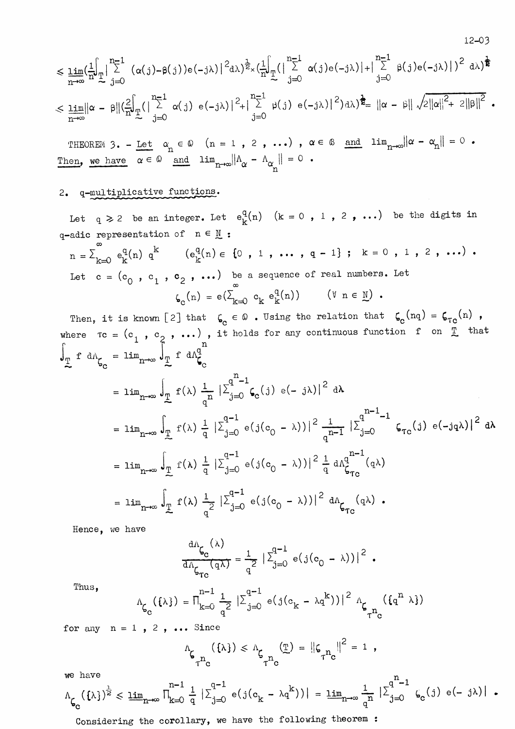$$
\leqslant \underline{\lim}_{n\rightarrow\infty}(\frac{1}{n}\int_{\frac{\pi}{\lambda}}^{n-1}|\sum_{j=0}^{n-1}(\alpha(j)-\beta(j))e(-j\lambda)|^{2}\mathrm{d}\lambda)^{\frac{1}{2}}\times(\frac{1}{n}\int_{\frac{\pi}{\lambda}}^{n-1}(|\sum_{j=0}^{n-1}\alpha(j)e(-j\lambda)|+|\sum_{j=0}^{n-1}\beta(j)e(-j\lambda)|)^{2}\mathrm{d}\lambda)^{\frac{1}{2}}}{|\alpha-\beta||\sum_{j=0}^{2}\alpha(j)e(-j\lambda)|^{2}+|\sum_{j=0}^{n-1}\beta(j)e(-j\lambda)|^{2}\mathrm{d}\lambda)^{\frac{1}{2}}=\left\|\alpha-\beta\right\|\sqrt{2\|\alpha\|^{2}+2\|\beta\|^{2}}
$$

 $12 - 03$ 

THEOREM 3. - Let  $\alpha_n \in \mathbb{Q}$  (n = 1, 2, ...),  $\alpha \in \mathbb{Q}$  and  $\lim_{n \to \infty} ||\alpha - \alpha_n|| = 0$ . Then, we have  $\alpha \in \Omega$  and  $\lim_{n \to \infty} || \Lambda_{\alpha} - \Lambda_{\alpha} || = 0$ .

## 2. q-multiplicative functions.

Let  $q \ge 2$  be an integer. Let  $e_k^q(n)$   $(k = 0, 1, 2, ...)$  be the digits in q-adic representation of  $n \in \underline{N}$ :

 $n = \sum_{k=0}^{\infty} e_k^q(n) q^k$   $(e_k^q(n) \in \{0, 1, \ldots, q-1\}; k = 0, 1, 2, \ldots)$ . Let  $c = (c_0, c_1, c_2, \ldots)$  be a sequence of real numbers. Let  $\zeta_{\mathbf{c}}(n) = e(\sum_{k=0}^{\infty} c_k e_k^{\mathbf{q}}(n))$   $(\forall n \in \mathbb{N})$ .

Then, it is known [2] that  $\zeta_c \in \mathbb{Q}$ . Using the relation that  $\zeta_c(nq) = \zeta_{Tc}(n)$ , where  $\tau c = (c_1, c_2, \ldots)$ , it holds for any continuous function f on  $\overline{r}$  that  $\int_{\mathbb{T}} f \ dA_{\zeta_n} = \lim_{n \to \infty} \int_{\mathbb{T}} f \ dA_{\zeta_n}^n$ 

$$
= \lim_{n \to \infty} \int_{\frac{\pi}{2}} f(\lambda) \frac{1}{q^n} |\Sigma_{j=0}^{q^n - 1} \zeta_o(j) e(-j\lambda)|^2 d\lambda
$$
  
\n
$$
= \lim_{n \to \infty} \int_{\frac{\pi}{2}} f(\lambda) \frac{1}{q} |\Sigma_{j=0}^{q-1} e(j(c_0 - \lambda))|^2 \frac{1}{q^{n-1}} |\Sigma_{j=0}^{q^{n-1} - 1} \zeta_{r_c}(j) e(-jq\lambda)|^2 d\lambda
$$
  
\n
$$
= \lim_{n \to \infty} \int_{\frac{\pi}{2}} f(\lambda) \frac{1}{q} |\Sigma_{j=0}^{q-1} e(j(c_0 - \lambda))|^2 \frac{1}{q} d\Lambda_{\zeta_{r_c}}^{q^{n-1}}(q\lambda)
$$
  
\n
$$
= \lim_{n \to \infty} \int_{\frac{\pi}{2}} f(\lambda) \frac{1}{q^2} |\Sigma_{j=0}^{q-1} e(j(c_0 - \lambda))|^2 d\Lambda_{\zeta_{r_c}}(q\lambda).
$$

Hence, we have

$$
\frac{d\Lambda_{\zeta_{\mathbb{C}}}(\lambda)}{d\Lambda_{\zeta_{\tau_{\mathbb{C}}}}(q\lambda)} = \frac{1}{q^2} \left| \sum_{j=0}^{q-1} e(j(c_0 - \lambda)) \right|^2.
$$

 $_{\text{\tiny{Thus,}}}$ 

$$
\Lambda_{\zeta_{\mathcal{C}}}(\{\lambda\}) = \Pi_{k=0}^{n-1} \frac{1}{q^2} |\Sigma_{j=0}^{q-1} e(j(c_k - \lambda q^k))|^2 \Lambda_{\zeta_{T^{n_{\mathcal{C}}}}}(\{q^n, \lambda\})
$$

for any  $n = 1$ , 2, ... Since

$$
\Lambda_{\zeta_{\tau_{\mathbf{n}_c}}}(\{\lambda\}) \leqslant \Lambda_{\zeta_{\tau_{\tau_{\mathbf{n}_c}}}(\underline{\tau})} = \|\zeta_{\tau_{\tau_{\mathbf{n}_c}}}^{\tau_{\mathbf{n}_c}}\|^{2} = 1
$$

 $\mathcal{L}$ 

we have

$$
\Lambda_{\zeta_{\mathbf{C}}}(\{\lambda\})^{\frac{1}{2}} \leqslant \underline{\lim}_{n \to \infty} \prod_{k=0}^{n-1} \frac{1}{q} \left| \sum_{j=0}^{q-1} e(j(c_k - \lambda q^k)) \right| = \underline{\lim}_{n \to \infty} \frac{1}{q^n} \left| \sum_{j=0}^{q^n-1} \zeta_{\mathbf{C}}(j) e(-j\lambda) \right|.
$$

Considering the corollary, we have the following theorem :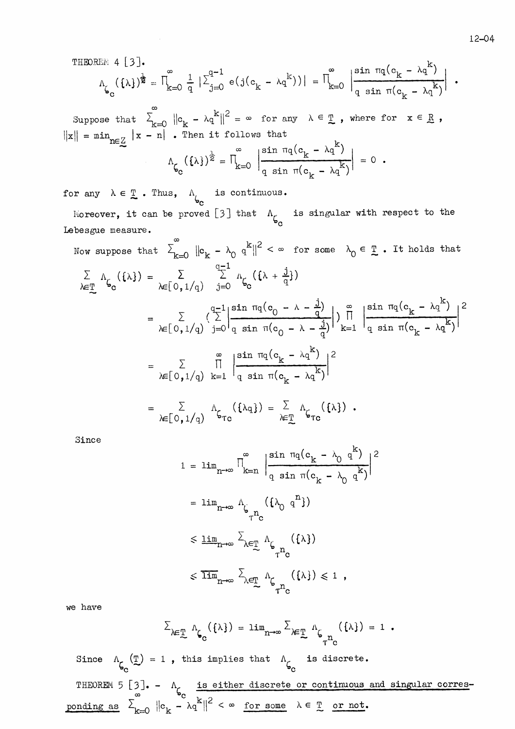THEOREM 4 
$$
[3]
$$
.

$$
\Lambda_{\zeta_{\mathbf{C}}}(\{\lambda\})^{\frac{1}{2}} = \prod_{k=0}^{\infty} \frac{1}{q} |\sum_{j=0}^{q-1} e(j(c_{k} - \lambda q^{k}))| = \prod_{k=0}^{\infty} \left| \frac{\sin \pi q (c_{k} - \lambda q^{k})}{q \sin \pi (c_{k} - \lambda q^{k})} \right|.
$$

Suppose that  $\sum_{k=0}^{\infty} ||c_k - \lambda q^k||^2 = \infty$  for any  $\lambda \in \mathbb{T}$ , where for  $x \in \mathbb{R}$ ,  $||x|| = \min_{n \in \mathbb{Z}} |x - n|$ . Then it follows that

$$
\Lambda_{\zeta_{\mathcal{C}}}(\{\lambda\})^{\frac{1}{2}} = \prod_{k=0}^{\infty} \left| \frac{\sin \pi q (c_k - \lambda q^k)}{q \sin \pi (c_k - \lambda q^k)} \right| = 0.
$$

for any  $\lambda \in \mathbb{T}$ . Thus,  $\Lambda_{\mathbf{b}_c}$  is continuous. Moreover, it can be proved [3] that  $\Lambda_{\zeta_c}$  is singular with respect to the Lebesgue measure.  $\infty$ 

Now suppose that 
$$
\sum_{k=0}^{\infty} ||c_k - \lambda_0 q^k||^2 < \infty
$$
 for some  $\lambda_0 \in \mathbb{I}$ . It holds that  
\n
$$
\sum_{k=1}^{\infty} \Lambda_{\mathcal{G}_0}(\{\lambda\}) = \sum_{\lambda \in [0,1/q)} \sum_{j=0}^{q-1} \Lambda_{\mathcal{G}_0}(\{\lambda + \frac{j}{q}\})
$$
\n
$$
= \sum_{\lambda \in [0,1/q)} \sum_{j=0}^{q-1} \left| \frac{\sin \pi q (c_0 - \lambda - \frac{j}{q})}{q \sin \pi (c_0 - \lambda - \frac{j}{q})} \right| \sum_{k=1}^{\infty} \frac{\sin \pi q (c_k - \lambda q^k)}{q \sin \pi (c_k - \lambda q^k)} \right|^2
$$
\n
$$
= \sum_{\lambda \in [0,1/q)} \prod_{k=1}^{\infty} \left| \frac{\sin \pi q (c_k - \lambda q^k)}{q \sin \pi (c_k - \lambda q^k)} \right|^2
$$
\n
$$
= \sum_{\lambda \in [0,1/q)} \Lambda_{\mathcal{G}_{TC}}(\{\lambda q\}) = \sum_{\lambda \in \mathbb{I}} \Lambda_{\mathcal{G}_{TC}}(\{\lambda\}).
$$

Since

$$
1 = \lim_{n \to \infty} \left| \int_{k=n}^{\infty} \left| \frac{\sin \pi q (c_k - \lambda_0 q^k)}{q \sin \pi (c_k - \lambda_0 q^k)} \right|^2 \right|
$$
  
\n
$$
= \lim_{n \to \infty} \Lambda_{\zeta} \left( {\lambda_0 q^n} \right)
$$
  
\n
$$
\leq \underline{\lim}_{n \to \infty} \sum_{\lambda \in \underline{T}} \Lambda_{\zeta} \left( {\lambda} \right)
$$
  
\n
$$
\leq \overline{\lim}_{n \to \infty} \sum_{\lambda \in \underline{T}} \Lambda_{\zeta} \left( {\lambda} \right) \leq 1,
$$

we have

$$
\Sigma_{\lambda \in \mathbb{T}} \Lambda_{\zeta_{\mathbf{C}}}(\{\lambda\}) = \lim_{n \to \infty} \Sigma_{\lambda \in \mathbb{T}} \Lambda_{\zeta_{n}}(\{\lambda\}) = 1.
$$

Since  $\Lambda_{\zeta_{\rm c}}(\mathbb{I}) = 1$ , this implies that  $\Lambda_{\zeta_{\rm c}}$  is discrete. THEOREM 5 [3]. -  $\Lambda_{\zeta_c}$  is either discrete or continuous and singular corresponding as  $\sum_{k=0}^{\infty} ||c_k - \lambda q^k||^2 < \infty$  for some  $\lambda \in \mathbb{T}$  or not.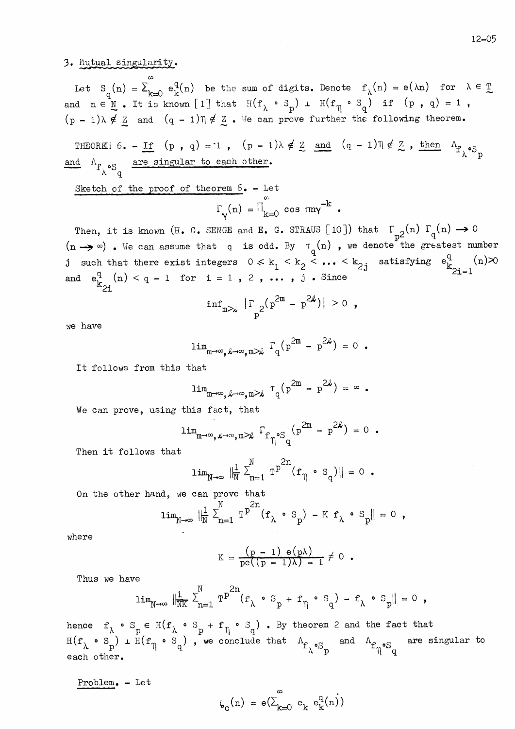12-05

### 3. Mutual singularity.

Let  $S_q(n) = \sum_{k=0}^{\infty} e_k^q(n)$  be the sum of digits. Denote  $f_{\lambda}(n) = e(\lambda n)$  for  $\lambda \in \underline{T}$  and  $n \in \underline{N}$ . It is known [1] that  $H(f_{\lambda} \circ S_p) + H(f_{\eta} \circ S_q)$  if  $(p, q) = 1$ ,  $(p-1)\lambda \notin \underline{Z}$  and  $(q-1)\eta \notin \underline{Z}$ . We can prove further the following theorem.

THEOREM 6. - If  $(p, q) = 1$ ,  $(p - 1)\lambda \notin \underline{Z}$  and  $(q - 1)\eta \notin \underline{Z}$ , then  $\Lambda_{f_\lambda \circ S_p}$ and  ${}^{\Lambda}f{}_{\hat{\lambda}}$ °S<sub>q</sub> are singular to each other.

Sketch of the proof of theorem 6. - Let  
\n
$$
\Gamma_{\gamma}(n) = \Pi_{k=0}^{\infty} \cos \pi n \gamma^{-k}.
$$

Then, it is known (H. G. SENGE and E. G. STRAUS [10]) that  $\Gamma_{n2}(n)$   $\Gamma_q(n) \rightarrow 0$  $(n \rightarrow \infty)$ . We can assume that q is odd. By  $\tau_q(n)$ , we denote the greatest number j such that there exist integers  $0 \le k_1 \le k_2 \le \ldots \le k_{2j}$  satisfying  $e_{k_{2i-1}}^q(n) \ge 0$ and  $e_{k_{2i}}^{q}(n) < q - 1$  for  $i = 1, 2, ...$ ,  $j$ . Since

$$
\inf_{m \geq x} |\Gamma_{p^2}(p^{2m} - p^{2k})| > 0
$$
,

we have

$$
\lim_{m \to \infty} \sum_{\phi \to \infty} \exp\left( p \right) = 0 \quad .
$$

It follows from this that

$$
\lim_{m\to\infty} \exp(-\infty, \exp(-\infty, \exp(-\infty)) = \infty.
$$

We can prove, using this fact, that

$$
\lim_{m \to \infty} \exp(-\infty, \exp(-\infty, \exp(-\infty))
$$

Then it follows that

$$
\lim_{N\to\infty} \|\frac{1}{N}\sum_{n=1}^N \mathbb{T}^{p^{2n}}(\mathbf{f}_{\eta} \cdot \mathbf{s}_q)\| = 0.
$$

On the other hand, we can prove that

$$
\lim_{N \to \infty} \|\frac{1}{N} \sum_{n=1}^{N} T^{p^{2n}} (f_{\lambda} \cdot S_p) - K f_{\lambda} \cdot S_p\| = 0 ,
$$

where

$$
K = \frac{(p-1) e(p\lambda)}{pe((p-1)\lambda) - 1} \neq 0.
$$

Thus we have

$$
\lim_{N\to\infty} \|\frac{1}{NK} \sum_{n=1}^{N} T^{p^{2n}}(f_{\lambda} \cdot S_p + f_{\eta} \cdot S_q) - f_{\lambda} \cdot S_p\| = 0,
$$

hence  $f_{\lambda} \circ s_p \in H(f_{\lambda} \circ s_p + f_{\eta} \circ s_q)$ . By theorem 2 and the fact that  $H(f_{\lambda} \circ s_{p}) + H(f_{\eta} \circ s_{q})$ , we conclude that  $\Lambda_{f_{\lambda} \circ s_{p}}$  and  $\Lambda_{f_{\eta} \circ s_{q}}$  are singular to each other.

Problem. - Let

$$
\zeta_c(n) = e(\sum_{k=0}^{\infty} c_k e_k^q(n))
$$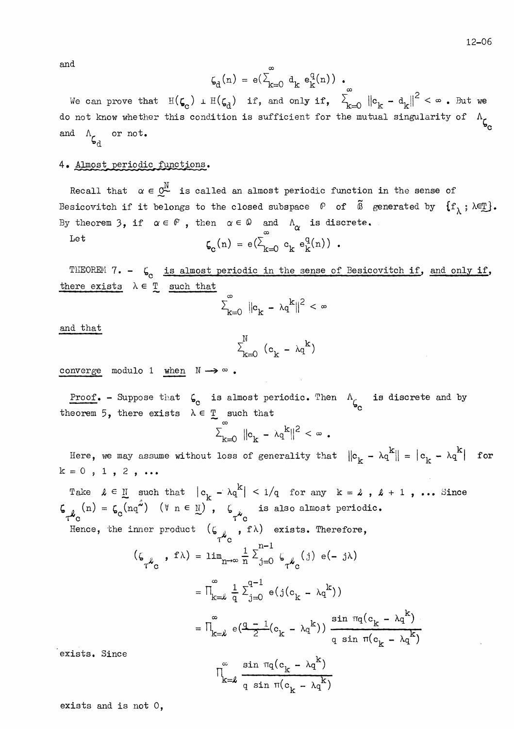and

$$
\zeta_d(n)\ =\ \mathbf{e}(\textstyle \sum_{k=0}^\infty\ \mathbf{d}_k\ \mathbf{e}_k^q(n))\ \ .
$$

We can prove that  $\mathbb{H}(\zeta_c)$   $\perp \mathbb{H}(\zeta_d)$  if, and only if,  $\sum_{k=0}^{\infty} ||c_k - d_k||^2 < \infty$ . But we do not know whether this condition is sufficient for the mutual singularity of  $\Lambda_{\mathcal{L}}$ and  $\Lambda_{\zeta_{\lambda}}$  or not.

#### 4. Almost periodic functions.

Recall that  $\alpha \in \mathbb{C}^N$  is called an almost periodic function in the sense of Besicovitch if it belongs to the closed subspace  $\mathbb P$  of  $\tilde{\mathbb B}$  generated by  $\{f_\lambda, \lambda \in \mathbb T\}$ . By theorem 3, if  $\alpha \in \mathbb{P}$ , then  $\alpha \in \mathbb{Q}$  and  $\Lambda_{\alpha}$  is discrete.

$$
\zeta_c(n) = e(\sum_{k=0}^{\infty} c_k e_k^q(n))
$$
.

THEOREM 7. -  $\zeta_c$  is almost periodic in the sense of Besicovitch if, and only if, there exists  $\lambda \in \mathbb{T}$  such that

$$
\sum_{k=0}^{\infty} \|\mathbf{e}_k - \lambda q^k\|^2 < \infty
$$

and that

Let

$$
\textbf{1}_{k=0}^{\mathbb{N}} \ (\mathbf{c}_k - \lambda q^k)
$$

converge modulo 1 when  $\mathbb{N} \longrightarrow \infty$ .

**Proof.** - Suppose that  $\zeta_0$  is almost periodic. Then  $\Lambda_{\zeta_0}$  is discrete and by theorem 5, there exists  $\lambda \in \mathbb{T}$  such that

$$
\sum_{k=0}^{\infty} \|\mathbf{c}_k - \lambda q^k\|^2 < \infty.
$$

Here, we may assume without loss of generality that  $||c_k - \lambda q^k|| = |c_k - \lambda q^k|$  for  $k = 0$ , 1, 2, ...

Take  $\ell \in \mathbb{N}$  such that  $|c_k - \lambda q^k| < 1/q$  for any  $k = \ell$ ,  $\ell + 1$ , ... Since  $\zeta_{\tau \ell_0}(n) = \zeta_0(nq^2)$  ( $\forall n \in \mathbb{N}$ ),  $\zeta_{\tau \ell_0}$  is also almost periodic. Hence, the inner product  $(\zeta_{\gamma_{\text{C}}}^{\prime}, f\lambda)$  exists. Therefore,  $(\zeta_{\tau^{\mathcal{L}}_{\tau}}^{\tau^{\mathcal{L}}} , f \lambda) = \lim_{n \to \infty} \frac{1}{n} \sum_{j=0}^{n-1} \zeta_{\tau^{\mathcal{L}}_{\tau}}^{\tau^{\mathcal{L}}} (j) e(-j\lambda)$  $= \prod_{k=0}^{\infty} \frac{1}{a} \sum_{j=0}^{q-1} e(j(c_k - \lambda q^k))$  $= \prod_{k=k}^{\infty} e(\frac{q-1}{2}(c_k - \lambda q^{k})) \frac{\sin \pi q(c_k - \lambda q^{k})}{q \sin \pi (c_k - \lambda q^{k})}$ exists. Since  $\prod_{k=\ell}^{\infty} \frac{\sin \pi q (c_k - \lambda q^K)}{q \sin \pi (c_k - \lambda q^K)}$ 

exists and is not  $0$ ,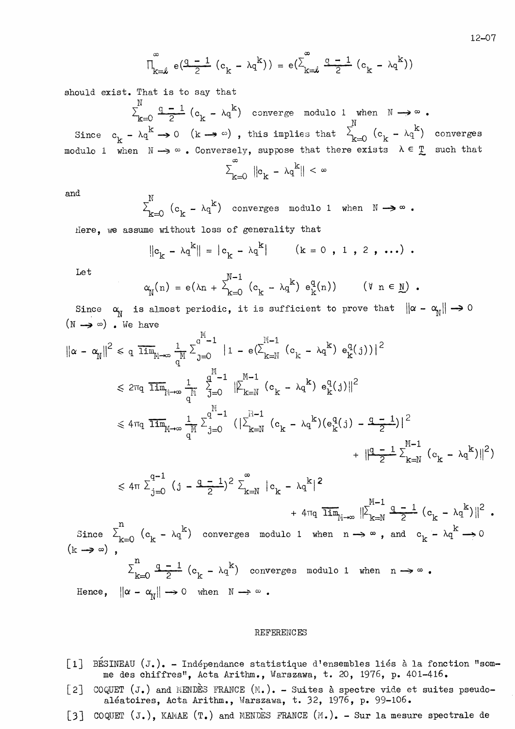$$
\textbf{P}_{k=1}^{\infty} \textbf{e} \big( \frac{q-1}{2} \big( \textbf{c}_k - \lambda q^k \big) \big) \textbf{e} \big( \textbf{c}_k^{\infty} \frac{q-1}{2} \big( \textbf{c}_k - \lambda q^k \big) \big)
$$

should exist. That is to say that

 $\mathbf{r}$ 

 $\sum_{k=0}^{N} \frac{q-1}{2} (c_k - \lambda q^k)$  converge modulo 1 when  $N \rightarrow \infty$ . Since  $c_k - \lambda q^k \rightarrow 0$  (k  $\rightarrow \infty$ ), this implies that  $\sum_{k=0}^{N} (c_k - \lambda q^k)$  converges modulo 1 when  $N \rightarrow \infty$ . Conversely, suppose that there exists  $\lambda \in \mathbb{T}$  such that

$$
\sum_{k=0}^{\infty} \left| \left| c_k - \lambda q^k \right| \right| < \infty
$$

and

$$
\sum_{k=0}^{N} (c_k - \lambda q^k) \quad \text{converges modulo 1 when} \quad N \longrightarrow \infty.
$$

Here, we assume without loss of generality that

$$
||c_k - \lambda q^k|| = |c_k - \lambda q^k|
$$
  $(k = 0, 1, 2, ...).$ 

Let

 $(\mathbf{k})$ 

$$
\alpha_{\mathbb{N}}(n) = e(\lambda n + \sum_{k=0}^{\mathbb{N}-1} (c_k - \lambda q^k) e_k^q(n)) \qquad (\forall n \in \mathbb{N}).
$$

Since  $\alpha_{\text{N}}$  is almost periodic, it is sufficient to prove that  $\|\alpha - \alpha_{\text{N}}\| \to 0$  $(N \rightarrow \infty)$  We have

$$
\|\alpha - \alpha_{N}\|^2 \leqslant q \overline{\lim}_{M \to \infty} \frac{1}{q^{M}} \sum_{j=0}^{q^{M}-1} |1 - e(\sum_{k=N}^{M-1} (c_k - \lambda q^{k}) e_{k}^{q}(j))|^2
$$
  

$$
\leqslant 2\pi q \overline{\lim}_{M \to \infty} \frac{1}{q^{M}} \sum_{j=0}^{q^{M}-1} ||\sum_{k=N}^{M-1} (c_k - \lambda q^{k}) e_{k}^{q}(j)||^2
$$
  

$$
\leqslant 4\pi q \overline{\lim}_{M \to \infty} \frac{1}{q^{M}} \sum_{j=0}^{q^{M}-1} (|\sum_{k=N}^{M-1} (c_k - \lambda q^{k}) (e_{k}^{q}(j) - \frac{q-1}{2})|^{2}
$$
  

$$
+ ||\frac{q-1}{2} \sum_{k=N}^{M-1} (c_k - \lambda q^{k})||^{2})
$$

$$
\leq 4\pi \sum_{j=0}^{q-1} (j - \frac{q-1}{2})^2 \sum_{k=N}^{\infty} |c_k - \lambda q^k|^2 + 4\pi q \overline{\lim}_{N \to \infty} ||\sum_{k=N}^{M-1} \frac{q-1}{2} (c_k - \lambda q^k)||^2
$$
  
Since  $\sum_{k=0}^{n} (c_k - \lambda q^k)$  converges modulo 1 when  $n \to \infty$ , and  $c_k - \lambda q^k \to 0$   
 $\sum_{k=0}^{n} \frac{q-1}{2} (c_k - \lambda q^k)$  converges modulo 1 when  $n \to \infty$ .  
Hence  $||\alpha - \alpha|| \to 0$  when  $N \to \infty$ 

Hence,  $\|\alpha - \alpha_{\text{N}}\| \to 0$  when  $\mathbb{N} \to \infty$ .

#### **REFERENCES**

- [1] BESINEAU (J.). Indépendance statistique d'ensembles liés à la fonction "somme des chiffres", Acta Arithm., Warszawa, t. 20, 1976, p. 401-416.
- COQUET (J.) and MENDES FRANCE  $(M. )$ . Suites à spectre vide et suites pseudo- $\lfloor 2 \rfloor$ aléatoires, Acta Arithm., Warszawa, t. 32, 1976, p. 99-106.
- [3] COQUET  $(J_{\bullet})$ , KAMAE  $(T_{\bullet})$  and MENDES FRANCE  $(M_{\bullet})_{\bullet}$  Sur la mesure spectrale de